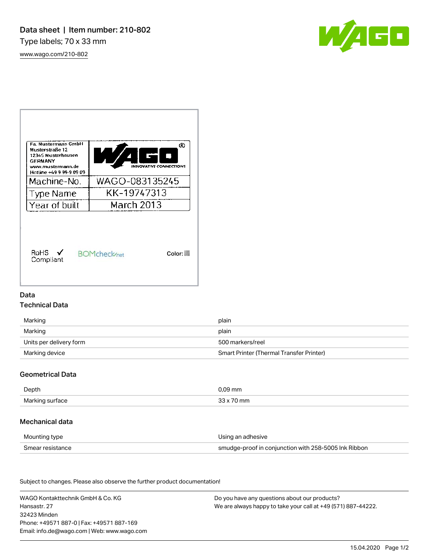[www.wago.com/210-802](http://www.wago.com/210-802)





### Data

### Technical Data

| Marking                 | plain                                           |
|-------------------------|-------------------------------------------------|
| Marking                 | plain                                           |
| Units per delivery form | 500 markers/reel                                |
| Marking device          | <b>Smart Printer (Thermal Transfer Printer)</b> |

## Geometrical Data

| Depth           | 09 mm       |
|-----------------|-------------|
| Marking surface | mm<br>ົງງີນ |

#### Mechanical data

| Mounting type    | Using an adhesive                                    |
|------------------|------------------------------------------------------|
| Smear resistance | smudge-proof in conjunction with 258-5005 Ink Ribbon |

Subject to changes. Please also observe the further product documentation! Material Data

| WAGO Kontakttechnik GmbH & Co. KG           | Do you have any questions about our products?                 |
|---------------------------------------------|---------------------------------------------------------------|
| Hansastr. 27                                | We are always happy to take your call at +49 (571) 887-44222. |
| 32423 Minden                                |                                                               |
| Phone: +49571 887-01 Fax: +49571 887-169    |                                                               |
| Email: info.de@wago.com   Web: www.wago.com |                                                               |